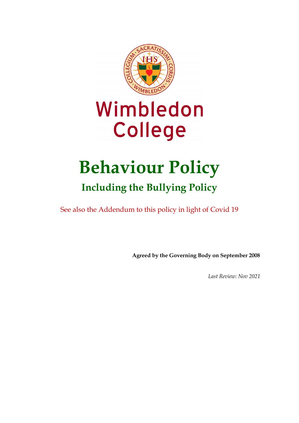

# Wimbledon **College**

# **Behaviour Policy Including the Bullying Policy**

See also the Addendum to this policy in light of Covid 19

**Agreed by the Governing Body on September 2008**

*Last Review: Nov 2021*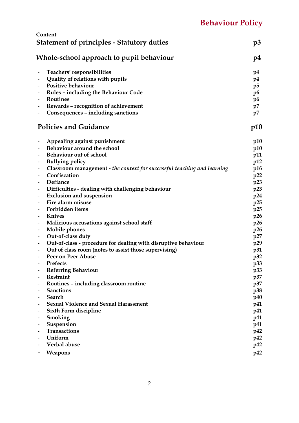|                                                      | Content                                                                                 |                |
|------------------------------------------------------|-----------------------------------------------------------------------------------------|----------------|
|                                                      | <b>Statement of principles - Statutory duties</b>                                       | p3             |
| Whole-school approach to pupil behaviour             |                                                                                         |                |
|                                                      | Teachers' responsibilities                                                              | p4             |
| $\overline{\phantom{a}}$                             | Quality of relations with pupils                                                        | p4             |
| $\overline{\phantom{a}}$                             | Positive behaviour                                                                      | p5             |
| $\overline{\phantom{a}}$                             | Rules - including the Behaviour Code                                                    | p <sub>6</sub> |
|                                                      | Routines                                                                                | p <sub>6</sub> |
| $\overline{\phantom{a}}$                             | Rewards - recognition of achievement                                                    | p7             |
| -                                                    | Consequences - including sanctions                                                      | p7             |
|                                                      | <b>Policies and Guidance</b>                                                            | p10            |
|                                                      | Appealing against punishment                                                            | p10            |
|                                                      | Behaviour around the school                                                             | p10            |
|                                                      | Behaviour out of school                                                                 | p11            |
|                                                      | <b>Bullying policy</b>                                                                  | p12            |
|                                                      | Classroom management - the context for successful teaching and learning<br>Confiscation | p16            |
| $\overline{\phantom{a}}$                             | Defiance                                                                                | p22            |
| $\overline{\phantom{a}}$<br>$\overline{\phantom{a}}$ | Difficulties - dealing with challenging behaviour                                       | p23<br>p23     |
| $\overline{\phantom{a}}$                             | <b>Exclusion and suspension</b>                                                         | p24            |
| $\overline{\phantom{a}}$                             | Fire alarm misuse                                                                       | p25            |
| $\overline{\phantom{a}}$                             | Forbidden items                                                                         | p25            |
| $\overline{\phantom{a}}$                             | <b>Knives</b>                                                                           | p26            |
| $\overline{\phantom{a}}$                             | Malicious accusations against school staff                                              | p26            |
| $\overline{\phantom{a}}$                             | Mobile phones                                                                           | p26            |
| $\overline{\phantom{a}}$                             | Out-of-class duty                                                                       | p27            |
| $\overline{\phantom{a}}$                             | Out-of-class - procedure for dealing with disruptive behaviour                          | p29            |
|                                                      | Out of class room (notes to assist those supervising)                                   | p31            |
| $\qquad \qquad \blacksquare$                         | Peer on Peer Abuse                                                                      | p32            |
|                                                      | Prefects                                                                                | p33            |
|                                                      | <b>Referring Behaviour</b>                                                              | p33            |
|                                                      | Restraint                                                                               | p37            |
|                                                      | Routines - including classroom routine<br><b>Sanctions</b>                              | p37            |
|                                                      | <b>Search</b>                                                                           | p38<br>p40     |
|                                                      | <b>Sexual Violence and Sexual Harassment</b>                                            | p41            |
|                                                      | Sixth Form discipline                                                                   | p41            |
|                                                      | Smoking                                                                                 | p41            |
|                                                      | Suspension                                                                              | p41            |
|                                                      | Transactions                                                                            | p42            |
|                                                      | Uniform                                                                                 | p42            |
|                                                      | Verbal abuse                                                                            | p42            |
|                                                      | <b>Weapons</b>                                                                          | p42            |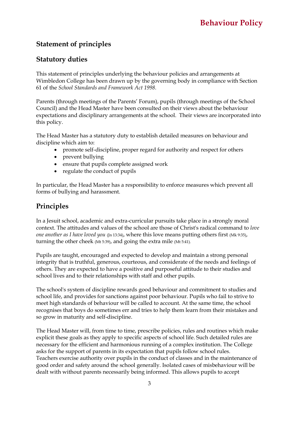# **Statement of principles**

# **Statutory duties**

This statement of principles underlying the behaviour policies and arrangements at Wimbledon College has been drawn up by the governing body in compliance with Section 61 of the *School Standards and Framework Act 1998.*

Parents (through meetings of the Parents' Forum), pupils (through meetings of the School Council) and the Head Master have been consulted on their views about the behaviour expectations and disciplinary arrangements at the school. Their views are incorporated into this policy.

The Head Master has a statutory duty to establish detailed measures on behaviour and discipline which aim to:

- promote self-discipline, proper regard for authority and respect for others
- prevent bullying
- ensure that pupils complete assigned work
- regulate the conduct of pupils

In particular, the Head Master has a responsibility to enforce measures which prevent all forms of bullying and harassment.

# **Principles**

In a Jesuit school, academic and extra-curricular pursuits take place in a strongly moral context. The attitudes and values of the school are those of Christ's radical command to *love one another as I have loved you* (Jn 13:34), where this love means putting others first (Mk 9:35), turning the other cheek (Mt 5:39), and going the extra mile (Mt 5:41).

Pupils are taught, encouraged and expected to develop and maintain a strong personal integrity that is truthful, generous, courteous, and considerate of the needs and feelings of others. They are expected to have a positive and purposeful attitude to their studies and school lives and to their relationships with staff and other pupils.

The school's system of discipline rewards good behaviour and commitment to studies and school life, and provides for sanctions against poor behaviour. Pupils who fail to strive to meet high standards of behaviour will be called to account. At the same time, the school recognises that boys do sometimes err and tries to help them learn from their mistakes and so grow in maturity and self-discipline.

The Head Master will, from time to time, prescribe policies, rules and routines which make explicit these goals as they apply to specific aspects of school life. Such detailed rules are necessary for the efficient and harmonious running of a complex institution. The College asks for the support of parents in its expectation that pupils follow school rules. Teachers exercise authority over pupils in the conduct of classes and in the maintenance of good order and safety around the school generally. Isolated cases of misbehaviour will be dealt with without parents necessarily being informed. This allows pupils to accept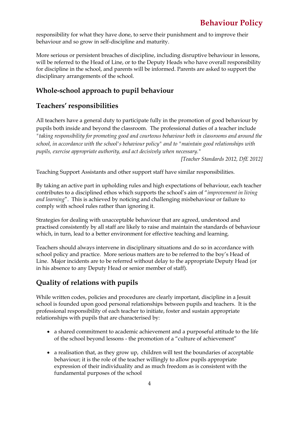responsibility for what they have done, to serve their punishment and to improve their behaviour and so grow in self-discipline and maturity.

More serious or persistent breaches of discipline, including disruptive behaviour in lessons, will be referred to the Head of Line, or to the Deputy Heads who have overall responsibility for discipline in the school, and parents will be informed. Parents are asked to support the disciplinary arrangements of the school.

# **Whole-school approach to pupil behaviour**

# **Teachers' responsibilities**

All teachers have a general duty to participate fully in the promotion of good behaviour by pupils both inside and beyond the classroom. The professional duties of a teacher include *"taking responsibility for promoting good and courteous behaviour both in classrooms and around the school, in accordance with the school's behaviour policy" and to "maintain good relationships with pupils, exercise appropriate authority, and act decisively when necessary."*

*[Teacher Standards 2012, DfE 2012]*

Teaching Support Assistants and other support staff have similar responsibilities.

By taking an active part in upholding rules and high expectations of behaviour, each teacher contributes to a disciplined ethos which supports the school's aim of "*improvement in living and learning*". This is achieved by noticing and challenging misbehaviour or failure to comply with school rules rather than ignoring it.

Strategies for dealing with unacceptable behaviour that are agreed, understood and practised consistently by all staff are likely to raise and maintain the standards of behaviour which, in turn, lead to a better environment for effective teaching and learning.

Teachers should always intervene in disciplinary situations and do so in accordance with school policy and practice. More serious matters are to be referred to the boy's Head of Line. Major incidents are to be referred without delay to the appropriate Deputy Head (or in his absence to any Deputy Head or senior member of staff).

# **Quality of relations with pupils**

While written codes, policies and procedures are clearly important, discipline in a Jesuit school is founded upon good personal relationships between pupils and teachers. It is the professional responsibility of each teacher to initiate, foster and sustain appropriate relationships with pupils that are characterised by:

- a shared commitment to academic achievement and a purposeful attitude to the life of the school beyond lessons - the promotion of a "culture of achievement"
- a realisation that, as they grow up, children will test the boundaries of acceptable behaviour; it is the role of the teacher willingly to allow pupils appropriate expression of their individuality and as much freedom as is consistent with the fundamental purposes of the school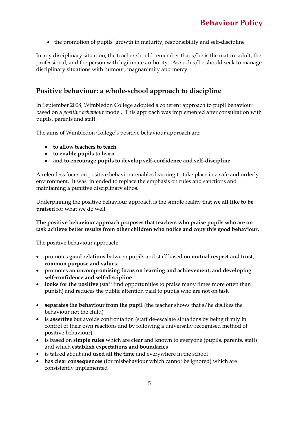• the promotion of pupils' growth in maturity, responsibility and self-discipline

In any disciplinary situation, the teacher should remember that s/he is the mature adult, the professional, and the person with legitimate authority. As such s/he should seek to manage disciplinary situations with humour, magnanimity and mercy.

# **Positive behaviour: a whole-school approach to discipline**

In September 2008, Wimbledon College adopted a coherent approach to pupil behaviour based on a *positive behaviour* model. This approach was implemented after consultation with pupils, parents and staff.

The aims of Wimbledon College's positive behaviour approach are:

- **to allow teachers to teach**
- **to enable pupils to learn**
- **and to encourage pupils to develop self-confidence and self-discipline**

A relentless focus on positive behaviour enables learning to take place in a safe and orderly environment. It was intended to replace the emphasis on rules and sanctions and maintaining a punitive disciplinary ethos.

Underpinning the positive behaviour approach is the simple reality that **we all like to be praised** for what we do well.

#### **The positive behaviour approach proposes that teachers who praise pupils who are on task achieve better results from other children who notice and copy this good behaviour.**

The positive behaviour approach:

- promotes **good relations** between pupils and staff based on **mutual respect and trust**, **common purpose and values**
- promotes an **uncompromising focus on learning and achievement**, and **developing self-confidence and self-discipline**
- **looks for the positive** (staff find opportunities to praise many times more often than punish) and reduces the public attention paid to pupils who are not on task
- **separates the behaviour from the pupil** (the teacher shows that s/he dislikes the behaviour not the child)
- is **assertive** but avoids confrontation (staff de-escalate situations by being firmly in control of their own reactions and by following a universally recognised method of positive behaviour)
- is based on **simple rules** which are clear and known to everyone (pupils, parents, staff) and which **establish expectations and boundaries**
- is talked about and **used all the time** and everywhere in the school
- has **clear consequences** (for misbehaviour which cannot be ignored) which are consistently implemented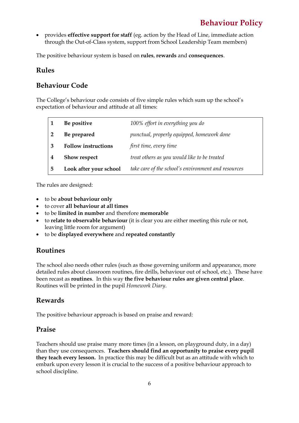• provides **effective support for staff** (eg. action by the Head of Line, immediate action through the Out-of-Class system, support from School Leadership Team members)

The positive behaviour system is based on **rules**, **rewards** and **consequences**.

### **Rules**

# **Behaviour Code**

The College's behaviour code consists of five simple rules which sum up the school's expectation of behaviour and attitude at all times:

|   | Be positive                | 100% effort in everything you do                    |
|---|----------------------------|-----------------------------------------------------|
|   | Be prepared                | punctual, properly equipped, homework done          |
| 3 | <b>Follow instructions</b> | first time, every time                              |
|   | <b>Show respect</b>        | treat others as you would like to be treated        |
| 5 | Look after your school     | take care of the school's environment and resources |

The rules are designed:

- to be **about behaviour only**
- to cover **all behaviour at all times**
- to be **limited in number** and therefore **memorable**
- to **relate to observable behaviour** (it is clear you are either meeting this rule or not, leaving little room for argument)
- to be **displayed everywhere** and **repeated constantly**

# **Routines**

The school also needs other rules (such as those governing uniform and appearance, more detailed rules about classroom routines, fire drills, behaviour out of school, etc.). These have been recast as **routines**. In this way **the five behaviour rules are given central place**. Routines will be printed in the pupil *Homework Diary*.

# **Rewards**

The positive behaviour approach is based on praise and reward:

# **Praise**

Teachers should use praise many more times (in a lesson, on playground duty, in a day) than they use consequences. **Teachers should find an opportunity to praise every pupil they teach every lesson.** In practice this may be difficult but as an attitude with which to embark upon every lesson it is crucial to the success of a positive behaviour approach to school discipline.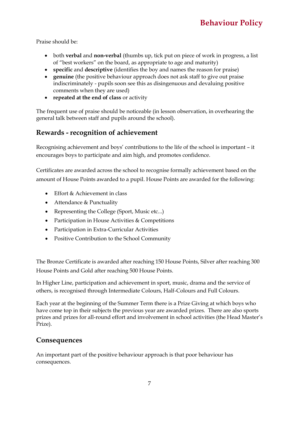Praise should be:

- both **verbal** and **non-verbal** (thumbs up, tick put on piece of work in progress, a list of "best workers" on the board, as appropriate to age and maturity)
- **specific** and **descriptive** (identifies the boy and names the reason for praise)
- **genuine** (the positive behaviour approach does not ask staff to give out praise indiscriminately - pupils soon see this as disingenuous and devaluing positive comments when they are used)
- **repeated at the end of class** or activity

The frequent use of praise should be noticeable (in lesson observation, in overhearing the general talk between staff and pupils around the school).

# **Rewards - recognition of achievement**

Recognising achievement and boys' contributions to the life of the school is important – it encourages boys to participate and aim high, and promotes confidence.

Certificates are awarded across the school to recognise formally achievement based on the amount of House Points awarded to a pupil. House Points are awarded for the following:

- Effort & Achievement in class
- Attendance & Punctuality
- Representing the College (Sport, Music etc...)
- Participation in House Activities & Competitions
- Participation in Extra-Curricular Activities
- Positive Contribution to the School Community

The Bronze Certificate is awarded after reaching 150 House Points, Silver after reaching 300 House Points and Gold after reaching 500 House Points.

In Higher Line, participation and achievement in sport, music, drama and the service of others, is recognised through Intermediate Colours, Half-Colours and Full Colours.

Each year at the beginning of the Summer Term there is a Prize Giving at which boys who have come top in their subjects the previous year are awarded prizes. There are also sports prizes and prizes for all-round effort and involvement in school activities (the Head Master's Prize).

# **Consequences**

An important part of the positive behaviour approach is that poor behaviour has consequences.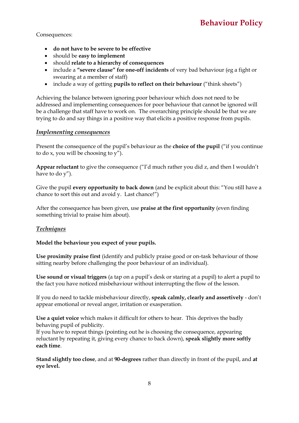Consequences:

- **do not have to be severe to be effective**
- should be **easy to implement**
- should **relate to a hierarchy of consequences**
- include a **"severe clause" for one-off incidents** of very bad behaviour (eg a fight or swearing at a member of staff)
- include a way of getting **pupils to reflect on their behaviour** ("think sheets")

Achieving the balance between ignoring poor behaviour which does not need to be addressed and implementing consequences for poor behaviour that cannot be ignored will be a challenge that staff have to work on. The overarching principle should be that we are trying to do and say things in a positive way that elicits a positive response from pupils.

#### *Implementing consequences*

Present the consequence of the pupil's behaviour as the **choice of the pupil** ("if you continue to do x, you will be choosing to  $\overline{y''}$ ).

**Appear reluctant** to give the consequence ("I'd much rather you did z, and then I wouldn't have to do y").

Give the pupil **every opportunity to back down** (and be explicit about this: "You still have a chance to sort this out and avoid y. Last chance!")

After the consequence has been given, use **praise at the first opportunity** (even finding something trivial to praise him about).

#### *Techniques*

#### **Model the behaviour you expect of your pupils.**

**Use proximity praise first** (identify and publicly praise good or on-task behaviour of those sitting nearby before challenging the poor behaviour of an individual).

**Use sound or visual triggers** (a tap on a pupil's desk or staring at a pupil) to alert a pupil to the fact you have noticed misbehaviour without interrupting the flow of the lesson.

If you do need to tackle misbehaviour directly, **speak calmly, clearly and assertively** - don't appear emotional or reveal anger, irritation or exasperation.

**Use a quiet voice** which makes it difficult for others to hear. This deprives the badly behaving pupil of publicity.

If you have to repeat things (pointing out he is choosing the consequence, appearing reluctant by repeating it, giving every chance to back down), **speak slightly more softly each time**.

**Stand slightly too close**, and at **90-degrees** rather than directly in front of the pupil, and **at eye level.**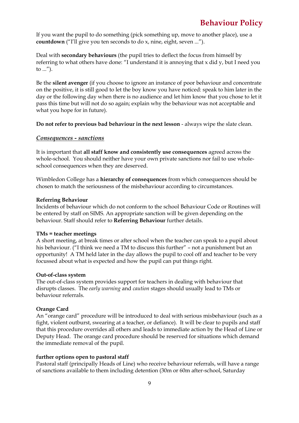If you want the pupil to do something (pick something up, move to another place), use a **countdown** ("I'll give you ten seconds to do x, nine, eight, seven ...").

Deal with **secondary behaviours** (the pupil tries to deflect the focus from himself by referring to what others have done: "I understand it is annoying that x did y, but I need you to ...").

Be the **silent avenger** (if you choose to ignore an instance of poor behaviour and concentrate on the positive, it is still good to let the boy know you have noticed: speak to him later in the day or the following day when there is no audience and let him know that you chose to let it pass this time but will not do so again; explain why the behaviour was not acceptable and what you hope for in future).

**Do not refer to previous bad behaviour in the next lesson** - always wipe the slate clean.

#### *Consequences - sanctions*

It is important that **all staff know and consistently use consequences** agreed across the whole-school. You should neither have your own private sanctions nor fail to use wholeschool consequences when they are deserved.

Wimbledon College has a **hierarchy of consequences** from which consequences should be chosen to match the seriousness of the misbehaviour according to circumstances.

#### **Referring Behaviour**

Incidents of behaviour which do not conform to the school Behaviour Code or Routines will be entered by staff on SIMS. An appropriate sanction will be given depending on the behaviour. Staff should refer to **Referring Behaviour** further details.

#### **TMs = teacher meetings**

A short meeting, at break times or after school when the teacher can speak to a pupil about his behaviour. ("I think we need a TM to discuss this further" – not a punishment but an opportunity! A TM held later in the day allows the pupil to cool off and teacher to be very focussed about what is expected and how the pupil can put things right.

#### **Out-of-class system**

The out-of-class system provides support for teachers in dealing with behaviour that disrupts classes. The *early warning* and *caution* stages should usually lead to TMs or behaviour referrals.

#### **Orange Card**

An "orange card" procedure will be introduced to deal with serious misbehaviour (such as a fight, violent outburst, swearing at a teacher, or defiance). It will be clear to pupils and staff that this procedure overrides all others and leads to immediate action by the Head of Line or Deputy Head. The orange card procedure should be reserved for situations which demand the immediate removal of the pupil.

#### **further options open to pastoral staff**

Pastoral staff (principally Heads of Line) who receive behaviour referrals, will have a range of sanctions available to them including detention (30m or 60m after-school, Saturday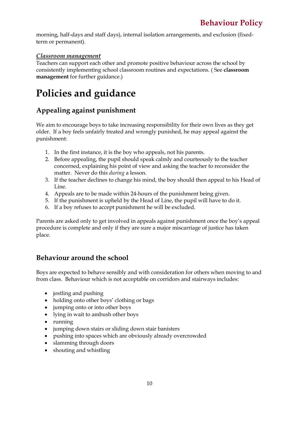morning, half-days and staff days), internal isolation arrangements, and exclusion (fixedterm or permanent).

### *Classroom management*

Teachers can support each other and promote positive behaviour across the school by consistently implementing school classroom routines and expectations. ( See **classroom management** for further guidance.)

# **Policies and guidance**

# **Appealing against punishment**

We aim to encourage boys to take increasing responsibility for their own lives as they get older. If a boy feels unfairly treated and wrongly punished, he may appeal against the punishment:

- 1. In the first instance, it is the boy who appeals, not his parents.
- 2. Before appealing, the pupil should speak calmly and courteously to the teacher concerned, explaining his point of view and asking the teacher to reconsider the matter. Never do this *during* a lesson.
- 3. If the teacher declines to change his mind, the boy should then appeal to his Head of Line.
- 4. Appeals are to be made within 24-hours of the punishment being given.
- 5. If the punishment is upheld by the Head of Line, the pupil will have to do it.
- 6. If a boy refuses to accept punishment he will be excluded.

Parents are asked only to get involved in appeals against punishment once the boy's appeal procedure is complete and only if they are sure a major miscarriage of justice has taken place.

# **Behaviour around the school**

Boys are expected to behave sensibly and with consideration for others when moving to and from class. Behaviour which is not acceptable on corridors and stairways includes:

- jostling and pushing
- holding onto other boys' clothing or bags
- jumping onto or into other boys
- lying in wait to ambush other boys
- running
- jumping down stairs or sliding down stair banisters
- pushing into spaces which are obviously already overcrowded
- slamming through doors
- shouting and whistling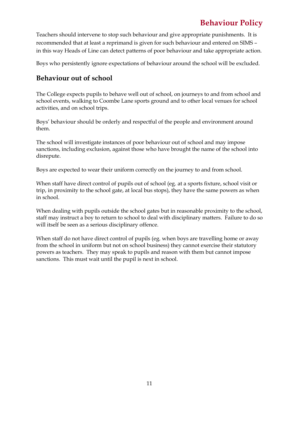Teachers should intervene to stop such behaviour and give appropriate punishments. It is recommended that at least a reprimand is given for such behaviour and entered on SIMS – in this way Heads of Line can detect patterns of poor behaviour and take appropriate action.

Boys who persistently ignore expectations of behaviour around the school will be excluded.

# **Behaviour out of school**

The College expects pupils to behave well out of school, on journeys to and from school and school events, walking to Coombe Lane sports ground and to other local venues for school activities, and on school trips.

Boys' behaviour should be orderly and respectful of the people and environment around them.

The school will investigate instances of poor behaviour out of school and may impose sanctions, including exclusion, against those who have brought the name of the school into disrepute.

Boys are expected to wear their uniform correctly on the journey to and from school.

When staff have direct control of pupils out of school (eg. at a sports fixture, school visit or trip, in proximity to the school gate, at local bus stops), they have the same powers as when in school.

When dealing with pupils outside the school gates but in reasonable proximity to the school, staff may instruct a boy to return to school to deal with disciplinary matters. Failure to do so will itself be seen as a serious disciplinary offence.

When staff do not have direct control of pupils (eg. when boys are travelling home or away from the school in uniform but not on school business) they cannot exercise their statutory powers as teachers. They may speak to pupils and reason with them but cannot impose sanctions. This must wait until the pupil is next in school.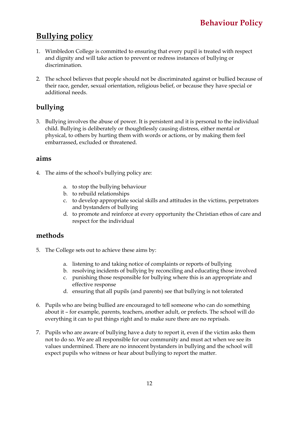# **Bullying policy**

- 1. Wimbledon College is committed to ensuring that every pupil is treated with respect and dignity and will take action to prevent or redress instances of bullying or discrimination.
- 2. The school believes that people should not be discriminated against or bullied because of their race, gender, sexual orientation, religious belief, or because they have special or additional needs.

# **bullying**

3. Bullying involves the abuse of power. It is persistent and it is personal to the individual child. Bullying is deliberately or thoughtlessly causing distress, either mental or physical, to others by hurting them with words or actions, or by making them feel embarrassed, excluded or threatened.

# **aims**

- 4. The aims of the school's bullying policy are:
	- a. to stop the bullying behaviour
	- b. to rebuild relationships
	- c. to develop appropriate social skills and attitudes in the victims, perpetrators and bystanders of bullying
	- d. to promote and reinforce at every opportunity the Christian ethos of care and respect for the individual

# **methods**

- 5. The College sets out to achieve these aims by:
	- a. listening to and taking notice of complaints or reports of bullying
	- b. resolving incidents of bullying by reconciling and educating those involved
	- c. punishing those responsible for bullying where this is an appropriate and effective response
	- d. ensuring that all pupils (and parents) see that bullying is not tolerated
- 6. Pupils who are being bullied are encouraged to tell someone who can do something about it – for example, parents, teachers, another adult, or prefects. The school will do everything it can to put things right and to make sure there are no reprisals.
- 7. Pupils who are aware of bullying have a duty to report it, even if the victim asks them not to do so. We are all responsible for our community and must act when we see its values undermined. There are no innocent bystanders in bullying and the school will expect pupils who witness or hear about bullying to report the matter.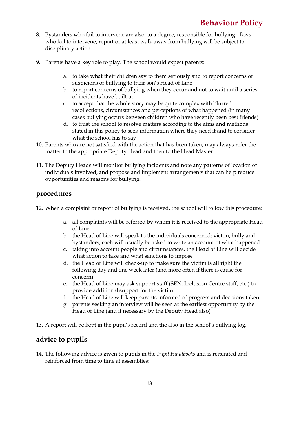- 8. Bystanders who fail to intervene are also, to a degree, responsible for bullying. Boys who fail to intervene, report or at least walk away from bullying will be subject to disciplinary action.
- 9. Parents have a key role to play. The school would expect parents:
	- a. to take what their children say to them seriously and to report concerns or suspicions of bullying to their son's Head of Line
	- b. to report concerns of bullying when they occur and not to wait until a series of incidents have built up
	- c. to accept that the whole story may be quite complex with blurred recollections, circumstances and perceptions of what happened (in many cases bullying occurs between children who have recently been best friends)
	- d. to trust the school to resolve matters according to the aims and methods stated in this policy to seek information where they need it and to consider what the school has to say
- 10. Parents who are not satisfied with the action that has been taken, may always refer the matter to the appropriate Deputy Head and then to the Head Master.
- 11. The Deputy Heads will monitor bullying incidents and note any patterns of location or individuals involved, and propose and implement arrangements that can help reduce opportunities and reasons for bullying.

# **procedures**

- 12. When a complaint or report of bullying is received, the school will follow this procedure:
	- a. all complaints will be referred by whom it is received to the appropriate Head of Line
	- b. the Head of Line will speak to the individuals concerned: victim, bully and bystanders; each will usually be asked to write an account of what happened
	- c. taking into account people and circumstances, the Head of Line will decide what action to take and what sanctions to impose
	- d. the Head of Line will check-up to make sure the victim is all right the following day and one week later (and more often if there is cause for concern).
	- e. the Head of Line may ask support staff (SEN, Inclusion Centre staff, etc.) to provide additional support for the victim
	- f. the Head of Line will keep parents informed of progress and decisions taken
	- g. parents seeking an interview will be seen at the earliest opportunity by the Head of Line (and if necessary by the Deputy Head also)
- 13. A report will be kept in the pupil's record and the also in the school's bullying log.

# **advice to pupils**

14. The following advice is given to pupils in the *Pupil Handbooks* and is reiterated and reinforced from time to time at assemblies: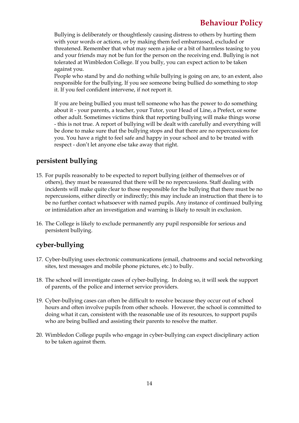Bullying is deliberately or thoughtlessly causing distress to others by hurting them with your words or actions, or by making them feel embarrassed, excluded or threatened. Remember that what may seem a joke or a bit of harmless teasing to you and your friends may not be fun for the person on the receiving end. Bullying is not tolerated at Wimbledon College. If you bully, you can expect action to be taken against you.

People who stand by and do nothing while bullying is going on are, to an extent, also responsible for the bullying. If you see someone being bullied do something to stop it. If you feel confident intervene, if not report it.

If you are being bullied you must tell someone who has the power to do something about it - your parents, a teacher, your Tutor, your Head of Line, a Prefect, or some other adult. Sometimes victims think that reporting bullying will make things worse - this is not true. A report of bullying will be dealt with carefully and everything will be done to make sure that the bullying stops and that there are no repercussions for you. You have a right to feel safe and happy in your school and to be treated with respect - don't let anyone else take away that right.

# **persistent bullying**

- 15. For pupils reasonably to be expected to report bullying (either of themselves or of others), they must be reassured that there will be no repercussions. Staff dealing with incidents will make quite clear to those responsible for the bullying that there must be no repercussions, either directly or indirectly; this may include an instruction that there is to be no further contact whatsoever with named pupils. Any instance of continued bullying or intimidation after an investigation and warning is likely to result in exclusion.
- 16. The College is likely to exclude permanently any pupil responsible for serious and persistent bullying.

# **cyber-bullying**

- 17. Cyber-bullying uses electronic communications (email, chatrooms and social networking sites, text messages and mobile phone pictures, etc.) to bully.
- 18. The school will investigate cases of cyber-bullying. In doing so, it will seek the support of parents, of the police and internet service providers.
- 19. Cyber-bullying cases can often be difficult to resolve because they occur out of school hours and often involve pupils from other schools. However, the school is committed to doing what it can, consistent with the reasonable use of its resources, to support pupils who are being bullied and assisting their parents to resolve the matter.
- 20. Wimbledon College pupils who engage in cyber-bullying can expect disciplinary action to be taken against them.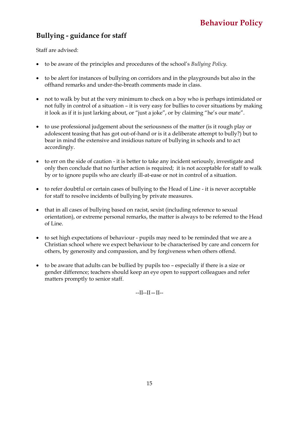# **Bullying - guidance for staff**

Staff are advised:

- to be aware of the principles and procedures of the school's *Bullying Policy.*
- to be alert for instances of bullying on corridors and in the playgrounds but also in the offhand remarks and under-the-breath comments made in class.
- not to walk by but at the very minimum to check on a boy who is perhaps intimidated or not fully in control of a situation – it is very easy for bullies to cover situations by making it look as if it is just larking about, or "just a joke", or by claiming "he's our mate".
- to use professional judgement about the seriousness of the matter (is it rough play or adolescent teasing that has got out-of-hand or is it a deliberate attempt to bully?) but to bear in mind the extensive and insidious nature of bullying in schools and to act accordingly.
- to err on the side of caution it is better to take any incident seriously, investigate and only then conclude that no further action is required; it is not acceptable for staff to walk by or to ignore pupils who are clearly ill-at-ease or not in control of a situation.
- to refer doubtful or certain cases of bullying to the Head of Line it is never acceptable for staff to resolve incidents of bullying by private measures.
- that in all cases of bullying based on racist, sexist (including reference to sexual orientation), or extreme personal remarks, the matter is always to be referred to the Head of Line.
- to set high expectations of behaviour pupils may need to be reminded that we are a Christian school where we expect behaviour to be characterised by care and concern for others, by generosity and compassion, and by forgiveness when others offend.
- to be aware that adults can be bullied by pupils too especially if there is a size or gender difference; teachers should keep an eye open to support colleagues and refer matters promptly to senior staff.

 $-II-II-II-$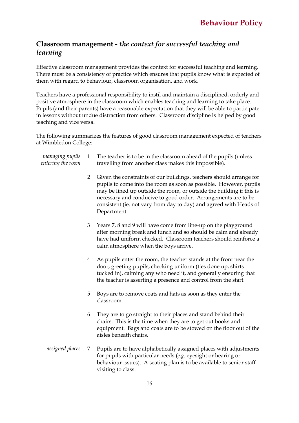# **Classroom management -** *the context for successful teaching and learning*

Effective classroom management provides the context for successful teaching and learning. There must be a consistency of practice which ensures that pupils know what is expected of them with regard to behaviour, classroom organisation, and work.

Teachers have a professional responsibility to instil and maintain a disciplined, orderly and positive atmosphere in the classroom which enables teaching and learning to take place. Pupils (and their parents) have a reasonable expectation that they will be able to participate in lessons without undue distraction from others. Classroom discipline is helped by good teaching and vice versa.

The following summarizes the features of good classroom management expected of teachers at Wimbledon College:

| managing pupils<br>entering the room | $\mathbf{1}$   | The teacher is to be in the classroom ahead of the pupils (unless<br>travelling from another class makes this impossible).                                                                                                                                                                                                                                             |
|--------------------------------------|----------------|------------------------------------------------------------------------------------------------------------------------------------------------------------------------------------------------------------------------------------------------------------------------------------------------------------------------------------------------------------------------|
|                                      | $\overline{2}$ | Given the constraints of our buildings, teachers should arrange for<br>pupils to come into the room as soon as possible. However, pupils<br>may be lined up outside the room, or outside the building if this is<br>necessary and conducive to good order. Arrangements are to be<br>consistent (ie. not vary from day to day) and agreed with Heads of<br>Department. |
|                                      | 3              | Years 7, 8 and 9 will have come from line-up on the playground<br>after morning break and lunch and so should be calm and already<br>have had uniform checked. Classroom teachers should reinforce a<br>calm atmosphere when the boys arrive.                                                                                                                          |
|                                      | 4              | As pupils enter the room, the teacher stands at the front near the<br>door, greeting pupils, checking uniform (ties done up, shirts<br>tucked in), calming any who need it, and generally ensuring that<br>the teacher is asserting a presence and control from the start.                                                                                             |
|                                      | 5              | Boys are to remove coats and hats as soon as they enter the<br>classroom.                                                                                                                                                                                                                                                                                              |
|                                      | 6              | They are to go straight to their places and stand behind their<br>chairs. This is the time when they are to get out books and<br>equipment. Bags and coats are to be stowed on the floor out of the<br>aisles beneath chairs.                                                                                                                                          |
| assigned places                      | 7              | Pupils are to have alphabetically assigned places with adjustments<br>for pupils with particular needs $(e.g.$ eyesight or hearing or<br>behaviour issues). A seating plan is to be available to senior staff<br>visiting to class.                                                                                                                                    |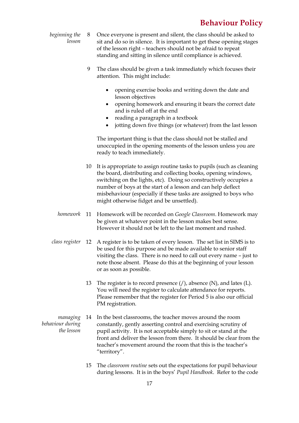- *beginning the lesson* 8 Once everyone is present and silent, the class should be asked to sit and do so in silence. It is important to get these opening stages of the lesson right – teachers should not be afraid to repeat standing and sitting in silence until compliance is achieved.
	- 9 The class should be given a task immediately which focuses their attention. This might include:
		- opening exercise books and writing down the date and lesson objectives
		- opening homework and ensuring it bears the correct date and is ruled off at the end
		- reading a paragraph in a textbook
		- jotting down five things (or whatever) from the last lesson

The important thing is that the class should not be stalled and unoccupied in the opening moments of the lesson unless you are ready to teach immediately.

- 10 It is appropriate to assign routine tasks to pupils (such as cleaning the board, distributing and collecting books, opening windows, switching on the lights, etc). Doing so constructively occupies a number of boys at the start of a lesson and can help deflect misbehaviour (especially if these tasks are assigned to boys who might otherwise fidget and be unsettled).
- *homework* 11 Homework will be recorded on *Google Classroom*. Homework may be given at whatever point in the lesson makes best sense. However it should not be left to the last moment and rushed.
- *class register* 12 A register is to be taken of every lesson. The set list in SIMS is to be used for this purpose and be made available to senior staff visiting the class. There is no need to call out every name – just to note those absent. Please do this at the beginning of your lesson or as soon as possible.
	- 13 The register is to record presence  $\mathcal{U}$ , absence  $\mathcal{N}$ , and lates  $\mathcal{L}$ . You will need the register to calculate attendance for reports. Please remember that the register for Period 5 is also our official PM registration.
- *managing behaviour during the lesson* In the best classrooms, the teacher moves around the room constantly, gently asserting control and exercising scrutiny of pupil activity. It is not acceptable simply to sit or stand at the front and deliver the lesson from there. It should be clear from the teacher's movement around the room that this is the teacher's "territory".
	- 15 The *classroom routine* sets out the expectations for pupil behaviour during lessons. It is in the boys' *Pupil Handbook*. Refer to the code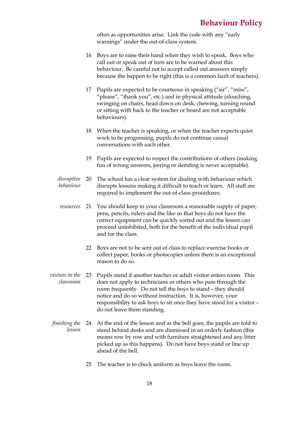often as opportunities arise. Link the code with any "early warnings" under the out-of-class system.

- 16 Boys are to raise their hand when they wish to speak. Boys who call out or speak out of turn are to be warned about this behaviour. Be careful not to accept called out answers simply because the happen to be right (this is a common fault of teachers).
- 17 Pupils are expected to be courteous in speaking ("sir", "miss", "please", "thank you", etc.) and in physical attitude (slouching, swinging on chairs, head down on desk, chewing, turning round or sitting with back to the teacher or board are not acceptable behaviours).
- 18 When the teacher is speaking, or when the teacher expects quiet work to be progressing, pupils do not continue casual conversations with each other.
- 19 Pupils are expected to respect the contributions of others (making fun of wrong answers, jeering or deriding is never acceptable).
- *disruptive behaviour* The school has a clear system for dealing with behaviour which disrupts lessons making it difficult to teach or learn. All staff are required to implement the out-of-class procedures.
- *resources* 21 You should keep in your classroom a reasonable supply of paper, pens, pencils, rulers and the like so that boys do not have the correct equipment can be quickly sorted out and the lesson can proceed uninhibited, both for the benefit of the individual pupil and for the class.
	- 22 Boys are not to be sent out of class to replace exercise books or collect paper, books or photocopies unless there is an exceptional reason to do so.
- *visitors to the classroom* Pupils stand if another teacher or adult visitor enters room. This does not apply to technicians or others who pass through the room frequently. Do not tell the boys to stand – they should notice and do so without instruction. It is, however, your responsibility to ask boys to sit once they have stood for a visitor – do not leave them standing.
- *finishing the*  24 At the end of the lesson and as the bell goes, the pupils are told to *lesson* stand behind desks and are dismissed in an orderly fashion (this means row by row and with furniture straightened and any litter picked up as this happens). Do not have boys stand or line up ahead of the bell.
	- 25 The teacher is to check uniform as boys leave the room.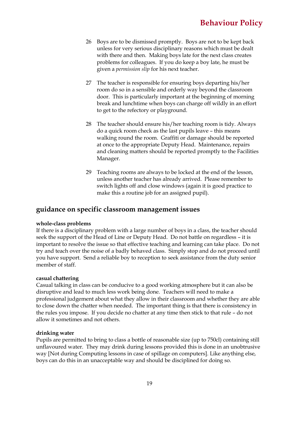- 26 Boys are to be dismissed promptly. Boys are not to be kept back unless for very serious disciplinary reasons which must be dealt with there and then. Making boys late for the next class creates problems for colleagues. If you do keep a boy late, he must be given a *permission slip* for his next teacher.
- 27 The teacher is responsible for ensuring boys departing his/her room do so in a sensible and orderly way beyond the classroom door. This is particularly important at the beginning of morning break and lunchtime when boys can charge off wildly in an effort to get to the refectory or playground.
- 28 The teacher should ensure his/her teaching room is tidy. Always do a quick room check as the last pupils leave – this means walking round the room. Graffiti or damage should be reported at once to the appropriate Deputy Head. Maintenance, repairs and cleaning matters should be reported promptly to the Facilities Manager.
- 29 Teaching rooms are always to be locked at the end of the lesson, unless another teacher has already arrived. Please remember to switch lights off and close windows (again it is good practice to make this a routine job for an assigned pupil).

### **guidance on specific classroom management issues**

#### **whole-class problems**

If there is a disciplinary problem with a large number of boys in a class, the teacher should seek the support of the Head of Line or Deputy Head. Do not battle on regardless – it is important to resolve the issue so that effective teaching and learning can take place. Do not try and teach over the noise of a badly behaved class. Simply stop and do not proceed until you have support. Send a reliable boy to reception to seek assistance from the duty senior member of staff.

#### **casual chattering**

Casual talking in class can be conducive to a good working atmosphere but it can also be disruptive and lead to much less work being done. Teachers will need to make a professional judgement about what they allow in their classroom and whether they are able to close down the chatter when needed. The important thing is that there is consistency in the rules you impose. If you decide no chatter at any time then stick to that rule – do not allow it sometimes and not others.

#### **drinking water**

Pupils are permitted to bring to class a bottle of reasonable size (up to 750cl) containing still unflavoured water. They may drink during lessons provided this is done in an unobtrusive way [Not during Computing lessons in case of spillage on computers]. Like anything else, boys can do this in an unacceptable way and should be disciplined for doing so.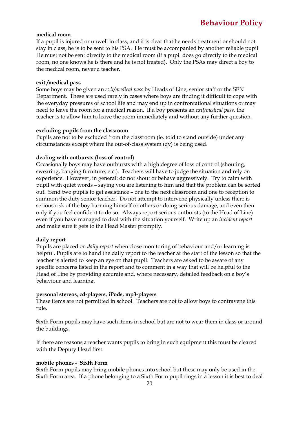#### **medical room**

If a pupil is injured or unwell in class, and it is clear that he needs treatment or should not stay in class, he is to be sent to his PSA. He must be accompanied by another reliable pupil. He must not be sent directly to the medical room (if a pupil does go directly to the medical room, no one knows he is there and he is not treated). Only the PSAs may direct a boy to the medical room, never a teacher.

#### **exit /medical pass**

Some boys may be given an *exit/medical pass* by Heads of Line, senior staff or the SEN Department. These are used rarely in cases where boys are finding it difficult to cope with the everyday pressures of school life and may end up in confrontational situations or may need to leave the room for a medical reason. If a boy presents an *exit/medical pass*, the teacher is to allow him to leave the room immediately and without any further question.

#### **excluding pupils from the classroom**

Pupils are not to be excluded from the classroom (ie. told to stand outside) under any circumstances except where the out-of-class system (qv) is being used.

#### **dealing with outbursts (loss of control)**

Occasionally boys may have outbursts with a high degree of loss of control (shouting, swearing, banging furniture, etc.). Teachers will have to judge the situation and rely on experience. However, in general: do not shout or behave aggressively. Try to calm with pupil with quiet words – saying you are listening to him and that the problem can be sorted out. Send two pupils to get assistance – one to the next classroom and one to reception to summon the duty senior teacher. Do not attempt to intervene physically unless there is serious risk of the boy harming himself or others or doing serious damage, and even then only if you feel confident to do so. Always report serious outbursts (to the Head of Line) even if you have managed to deal with the situation yourself. Write up an *incident report* and make sure it gets to the Head Master promptly.

#### **daily report**

Pupils are placed on *daily report* when close monitoring of behaviour and/or learning is helpful. Pupils are to hand the daily report to the teacher at the start of the lesson so that the teacher is alerted to keep an eye on that pupil. Teachers are asked to be aware of any specific concerns listed in the report and to comment in a way that will be helpful to the Head of Line by providing accurate and, where necessary, detailed feedback on a boy's behaviour and learning.

#### **personal stereos, cd-players, iPods, mp3-players**

These items are not permitted in school. Teachers are not to allow boys to contravene this rule.

Sixth Form pupils may have such items in school but are not to wear them in class or around the buildings.

If there are reasons a teacher wants pupils to bring in such equipment this must be cleared with the Deputy Head first.

#### **mobile phones - Sixth Form**

Sixth Form pupils may bring mobile phones into school but these may only be used in the Sixth Form area. If a phone belonging to a Sixth Form pupil rings in a lesson it is best to deal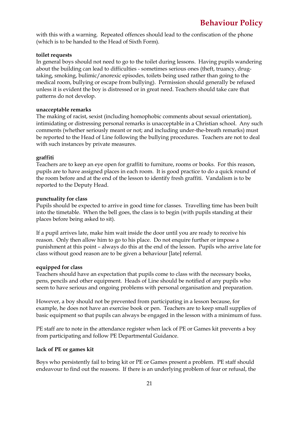with this with a warning. Repeated offences should lead to the confiscation of the phone (which is to be handed to the Head of Sixth Form).

#### **toilet requests**

In general boys should not need to go to the toilet during lessons. Having pupils wandering about the building can lead to difficulties - sometimes serious ones (theft, truancy, drugtaking, smoking, bulimic/anorexic episodes, toilets being used rather than going to the medical room, bullying or escape from bullying). Permission should generally be refused unless it is evident the boy is distressed or in great need. Teachers should take care that patterns do not develop.

#### **unacceptable remarks**

The making of racist, sexist (including homophobic comments about sexual orientation), intimidating or distressing personal remarks is unacceptable in a Christian school. Any such comments (whether seriously meant or not; and including under-the-breath remarks) must be reported to the Head of Line following the bullying procedures. Teachers are not to deal with such instances by private measures.

#### **graffiti**

Teachers are to keep an eye open for graffiti to furniture, rooms or books. For this reason, pupils are to have assigned places in each room. It is good practice to do a quick round of the room before and at the end of the lesson to identify fresh graffiti. Vandalism is to be reported to the Deputy Head.

#### **punctuality for class**

Pupils should be expected to arrive in good time for classes. Travelling time has been built into the timetable. When the bell goes, the class is to begin (with pupils standing at their places before being asked to sit).

If a pupil arrives late, make him wait inside the door until you are ready to receive his reason. Only then allow him to go to his place. Do not enquire further or impose a punishment at this point – always do this at the end of the lesson. Pupils who arrive late for class without good reason are to be given a behaviour [late] referral.

#### **equipped for class**

Teachers should have an expectation that pupils come to class with the necessary books, pens, pencils and other equipment. Heads of Line should be notified of any pupils who seem to have serious and ongoing problems with personal organisation and preparation.

However, a boy should not be prevented from participating in a lesson because, for example, he does not have an exercise book or pen. Teachers are to keep small supplies of basic equipment so that pupils can always be engaged in the lesson with a minimum of fuss.

PE staff are to note in the attendance register when lack of PE or Games kit prevents a boy from participating and follow PE Departmental Guidance.

#### **lack of PE or games kit**

Boys who persistently fail to bring kit or PE or Games present a problem. PE staff should endeavour to find out the reasons. If there is an underlying problem of fear or refusal, the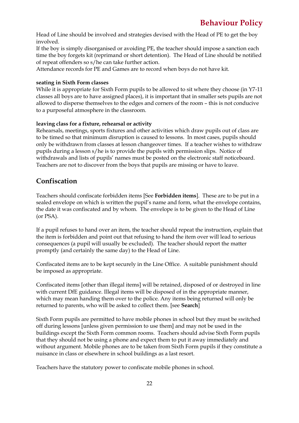Head of Line should be involved and strategies devised with the Head of PE to get the boy involved.

If the boy is simply disorganised or avoiding PE, the teacher should impose a sanction each time the boy forgets kit (reprimand or short detention). The Head of Line should be notified of repeat offenders so s/he can take further action.

Attendance records for PE and Games are to record when boys do not have kit.

#### **seating in Sixth Form classes**

While it is appropriate for Sixth Form pupils to be allowed to sit where they choose (in Y7-11 classes all boys are to have assigned places), it is important that in smaller sets pupils are not allowed to disperse themselves to the edges and corners of the room – this is not conducive to a purposeful atmosphere in the classroom.

#### **leaving class for a fixture, rehearsal or activity**

Rehearsals, meetings, sports fixtures and other activities which draw pupils out of class are to be timed so that minimum disruption is caused to lessons. In most cases, pupils should only be withdrawn from classes at lesson changeover times. If a teacher wishes to withdraw pupils during a lesson s/he is to provide the pupils with permission slips. Notice of withdrawals and lists of pupils' names must be posted on the electronic staff noticeboard. Teachers are not to discover from the boys that pupils are missing or have to leave.

### **Confiscation**

Teachers should confiscate forbidden items [See **Forbidden items**]. These are to be put in a sealed envelope on which is written the pupil's name and form, what the envelope contains, the date it was confiscated and by whom. The envelope is to be given to the Head of Line (or PSA).

If a pupil refuses to hand over an item, the teacher should repeat the instruction, explain that the item is forbidden and point out that refusing to hand the item over will lead to serious consequences (a pupil will usually be excluded). The teacher should report the matter promptly (and certainly the same day) to the Head of Line.

Confiscated items are to be kept securely in the Line Office. A suitable punishment should be imposed as appropriate.

Confiscated items [other than illegal items] will be retained, disposed of or destroyed in line with current DfE guidance. Illegal items will be disposed of in the appropriate manner, which may mean handing them over to the police. Any items being returned will only be returned to parents, who will be asked to collect them. [see **Search**]

Sixth Form pupils are permitted to have mobile phones in school but they must be switched off during lessons [unless given permission to use them] and may not be used in the buildings except the Sixth Form common rooms. Teachers should advise Sixth Form pupils that they should not be using a phone and expect them to put it away immediately and without argument. Mobile phones are to be taken from Sixth Form pupils if they constitute a nuisance in class or elsewhere in school buildings as a last resort.

Teachers have the statutory power to confiscate mobile phones in school.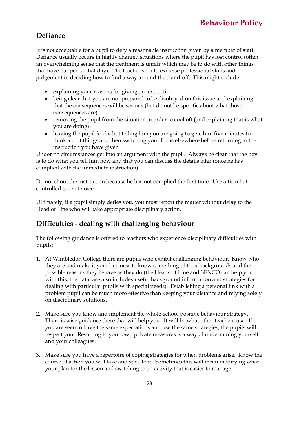# **Defiance**

It is not acceptable for a pupil to defy a reasonable instruction given by a member of staff. Defiance usually occurs in highly charged situations where the pupil has lost control (often an overwhelming sense that the treatment is unfair which may be to do with other things that have happened that day). The teacher should exercise professional skills and judgement in deciding how to find a way around the stand-off. This might include:

- explaining your reasons for giving an instruction
- being clear that you are not prepared to be disobeyed on this issue and explaining that the consequences will be serious (but do not be specific about what those consequences are)
- removing the pupil from the situation in order to cool off (and explaining that is what you are doing)
- leaving the pupil *in situ* but telling him you are going to give him five minutes to think about things and then switching your focus elsewhere before returning to the instruction you have given

Under no circumstances get into an argument with the pupil. Always be clear that the boy is to do what you tell him now and that you can discuss the details later (once he has complied with the immediate instruction).

Do not shout the instruction because he has not complied the first time. Use a firm but controlled tone of voice.

Ultimately, if a pupil simply defies you, you must report the matter without delay to the Head of Line who will take appropriate disciplinary action.

# **Difficulties - dealing with challenging behaviour**

The following guidance is offered to teachers who experience disciplinary difficulties with pupils:

- 1. At Wimbledon College there are pupils who exhibit challenging behaviour. Know who they are and make it your business to know something of their backgrounds and the possible reasons they behave as they do (the Heads of Line and SENCO can help you with this; the database also includes useful background information and strategies for dealing with particular pupils with special needs). Establishing a personal link with a problem pupil can be much more effective than keeping your distance and relying solely on disciplinary solutions.
- 2. Make sure you know and implement the whole-school positive behaviour strategy. There is wise guidance there that will help you. It will be what other teachers use. If you are seen to have the same expectations and use the same strategies, the pupils will respect you. Resorting to your own private measures is a way of undermining yourself and your colleagues.
- 3. Make sure you have a repertoire of coping strategies for when problems arise. Know the course of action you will take and stick to it. Sometimes this will mean modifying what your plan for the lesson and switching to an activity that is easier to manage.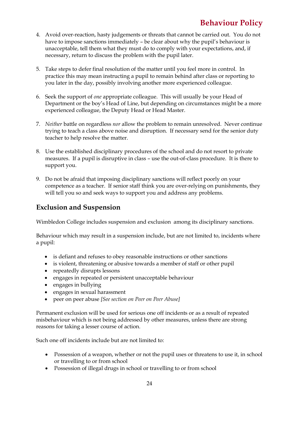- 4. Avoid over-reaction, hasty judgements or threats that cannot be carried out. You do not have to impose sanctions immediately – be clear about why the pupil's behaviour is unacceptable, tell them what they must do to comply with your expectations, and, if necessary, return to discuss the problem with the pupil later.
- 5. Take steps to defer final resolution of the matter until you feel more in control. In practice this may mean instructing a pupil to remain behind after class or reporting to you later in the day, possibly involving another more experienced colleague.
- 6. Seek the support of *one* appropriate colleague. This will usually be your Head of Department or the boy's Head of Line, but depending on circumstances might be a more experienced colleague, the Deputy Head or Head Master.
- 7. *Neither* battle on regardless *nor* allow the problem to remain unresolved. Never continue trying to teach a class above noise and disruption. If necessary send for the senior duty teacher to help resolve the matter.
- 8. Use the established disciplinary procedures of the school and do not resort to private measures. If a pupil is disruptive in class – use the out-of-class procedure. It is there to support you.
- 9. Do not be afraid that imposing disciplinary sanctions will reflect poorly on your competence as a teacher. If senior staff think you are over-relying on punishments, they will tell you so and seek ways to support you and address any problems.

# **Exclusion and Suspension**

Wimbledon College includes suspension and exclusion among its disciplinary sanctions.

Behaviour which may result in a suspension include, but are not limited to, incidents where a pupil:

- is defiant and refuses to obey reasonable instructions or other sanctions
- is violent, threatening or abusive towards a member of staff or other pupil
- repeatedly disrupts lessons
- engages in repeated or persistent unacceptable behaviour
- engages in bullying
- engages in sexual harassment
- peer on peer abuse *[See section on Peer on Peer Abuse]*

Permanent exclusion will be used for serious one off incidents or as a result of repeated misbehaviour which is not being addressed by other measures, unless there are strong reasons for taking a lesser course of action.

Such one off incidents include but are not limited to:

- Possession of a weapon, whether or not the pupil uses or threatens to use it, in school or travelling to or from school
- Possession of illegal drugs in school or travelling to or from school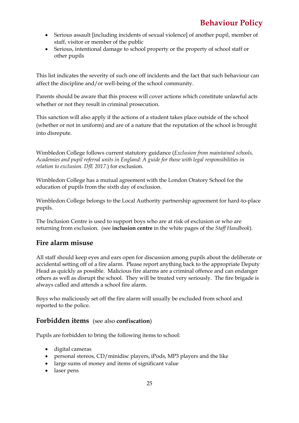- Serious assault [including incidents of sexual violence] of another pupil, member of staff, visitor or member of the public
- Serious, intentional damage to school property or the property of school staff or other pupils

This list indicates the severity of such one off incidents and the fact that such behaviour can affect the discipline and/or well-being of the school community.

Parents should be aware that this process will cover actions which constitute unlawful acts whether or not they result in criminal prosecution.

This sanction will also apply if the actions of a student takes place outside of the school (whether or not in uniform) and are of a nature that the reputation of the school is brought into disrepute.

Wimbledon College follows current statutory guidance (*Exclusion from maintained schools, Academies and pupil referral units in England: A guide for those with legal responsibilities in relation to exclusion. DfE 2017.*) for exclusion.

Wimbledon College has a mutual agreement with the London Oratory School for the education of pupils from the sixth day of exclusion.

Wimbledon College belongs to the Local Authority partnership agreement for hard-to-place pupils.

The Inclusion Centre is used to support boys who are at risk of exclusion or who are returning from exclusion. (see **inclusion centre** in the white pages of the *Staff Handbook*).

# **Fire alarm misuse**

All staff should keep eyes and ears open for discussion among pupils about the deliberate or accidental setting off of a fire alarm. Please report anything back to the appropriate Deputy Head as quickly as possible. Malicious fire alarms are a criminal offence and can endanger others as well as disrupt the school. They will be treated very seriously. The fire brigade is always called and attends a school fire alarm.

Boys who maliciously set off the fire alarm will usually be excluded from school and reported to the police.

# **Forbidden items** (see also **confiscation**)

Pupils are forbidden to bring the following items to school:

- digital cameras
- personal stereos, CD/minidisc players, iPods, MP3 players and the like
- large sums of money and items of significant value
- laser pens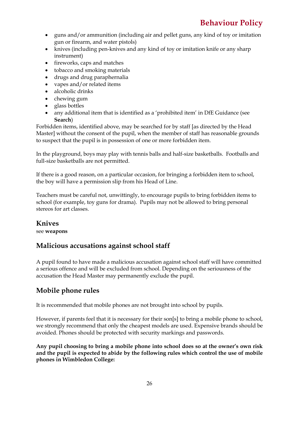- guns and/or ammunition (including air and pellet guns, any kind of toy or imitation gun or firearm, and water pistols)
- knives (including pen-knives and any kind of toy or imitation knife or any sharp instrument)
- fireworks, caps and matches
- tobacco and smoking materials
- drugs and drug paraphernalia
- vapes and/or related items
- alcoholic drinks
- chewing gum
- glass bottles
- any additional item that is identified as a 'prohibited item' in DfE Guidance (see **Search**)

Forbidden items, identified above, may be searched for by staff [as directed by the Head Master] without the consent of the pupil, when the member of staff has reasonable grounds to suspect that the pupil is in possession of one or more forbidden item.

In the playground, boys may play with tennis balls and half-size basketballs. Footballs and full-size basketballs are not permitted.

If there is a good reason, on a particular occasion, for bringing a forbidden item to school, the boy will have a permission slip from his Head of Line.

Teachers must be careful not, unwittingly, to encourage pupils to bring forbidden items to school (for example, toy guns for drama). Pupils may not be allowed to bring personal stereos for art classes.

# **Knives**

see **weapons**

# **Malicious accusations against school staff**

A pupil found to have made a malicious accusation against school staff will have committed a serious offence and will be excluded from school. Depending on the seriousness of the accusation the Head Master may permanently exclude the pupil.

# **Mobile phone rules**

It is recommended that mobile phones are not brought into school by pupils.

However, if parents feel that it is necessary for their son[s] to bring a mobile phone to school, we strongly recommend that only the cheapest models are used. Expensive brands should be avoided. Phones should be protected with security markings and passwords.

**Any pupil choosing to bring a mobile phone into school does so at the owner's own risk and the pupil is expected to abide by the following rules which control the use of mobile phones in Wimbledon College:**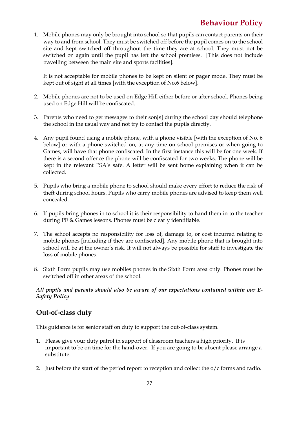1. Mobile phones may only be brought into school so that pupils can contact parents on their way to and from school. They must be switched off before the pupil comes on to the school site and kept switched off throughout the time they are at school. They must not be switched on again until the pupil has left the school premises. [This does not include travelling between the main site and sports facilities].

It is not acceptable for mobile phones to be kept on silent or pager mode. They must be kept out of sight at all times [with the exception of No.6 below].

- 2. Mobile phones are not to be used on Edge Hill either before or after school. Phones being used on Edge Hill will be confiscated.
- 3. Parents who need to get messages to their son[s] during the school day should telephone the school in the usual way and not try to contact the pupils directly.
- 4. Any pupil found using a mobile phone, with a phone visible [with the exception of No. 6 below] or with a phone switched on, at any time on school premises or when going to Games, will have that phone confiscated. In the first instance this will be for one week. If there is a second offence the phone will be confiscated for two weeks. The phone will be kept in the relevant PSA's safe. A letter will be sent home explaining when it can be collected.
- 5. Pupils who bring a mobile phone to school should make every effort to reduce the risk of theft during school hours. Pupils who carry mobile phones are advised to keep them well concealed.
- 6. If pupils bring phones in to school it is their responsibility to hand them in to the teacher during PE & Games lessons. Phones must be clearly identifiable.
- 7. The school accepts no responsibility for loss of, damage to, or cost incurred relating to mobile phones [including if they are confiscated]. Any mobile phone that is brought into school will be at the owner's risk. It will not always be possible for staff to investigate the loss of mobile phones.
- 8. Sixth Form pupils may use mobiles phones in the Sixth Form area only. Phones must be switched off in other areas of the school.

*All pupils and parents should also be aware of our expectations contained within our E-Safety Policy* 

# **Out-of-class duty**

This guidance is for senior staff on duty to support the out-of-class system.

- 1. Please give your duty patrol in support of classroom teachers a high priority. It is important to be on time for the hand-over. If you are going to be absent please arrange a substitute.
- 2. Just before the start of the period report to reception and collect the o/c forms and radio.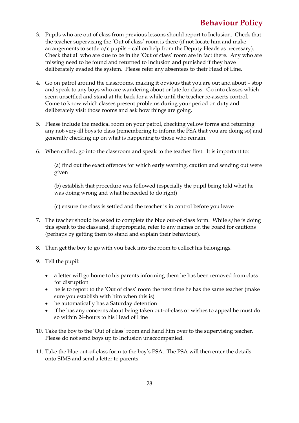- 3. Pupils who are out of class from previous lessons should report to Inclusion. Check that the teacher supervising the 'Out of class' room is there (if not locate him and make arrangements to settle  $o/c$  pupils – call on help from the Deputy Heads as necessary). Check that all who are due to be in the 'Out of class' room are in fact there. Any who are missing need to be found and returned to Inclusion and punished if they have deliberately evaded the system. Please refer any absentees to their Head of Line.
- 4. Go on patrol around the classrooms, making it obvious that you are out and about stop and speak to any boys who are wandering about or late for class. Go into classes which seem unsettled and stand at the back for a while until the teacher re-asserts control. Come to know which classes present problems during your period on duty and deliberately visit those rooms and ask how things are going.
- 5. Please include the medical room on your patrol, checking yellow forms and returning any not-very-ill boys to class (remembering to inform the PSA that you are doing so) and generally checking up on what is happening to those who remain.
- 6. When called, go into the classroom and speak to the teacher first. It is important to:

(a) find out the exact offences for which early warning, caution and sending out were given

(b) establish that procedure was followed (especially the pupil being told what he was doing wrong and what he needed to do right)

(c) ensure the class is settled and the teacher is in control before you leave

- 7. The teacher should be asked to complete the blue out-of-class form. While s/he is doing this speak to the class and, if appropriate, refer to any names on the board for cautions (perhaps by getting them to stand and explain their behaviour).
- 8. Then get the boy to go with you back into the room to collect his belongings.
- 9. Tell the pupil:
	- a letter will go home to his parents informing them he has been removed from class for disruption
	- he is to report to the 'Out of class' room the next time he has the same teacher (make sure you establish with him when this is)
	- he automatically has a Saturday detention
	- if he has any concerns about being taken out-of-class or wishes to appeal he must do so within 24-hours to his Head of Line
- 10. Take the boy to the 'Out of class' room and hand him over to the supervising teacher. Please do not send boys up to Inclusion unaccompanied.
- 11. Take the blue out-of-class form to the boy's PSA. The PSA will then enter the details onto SIMS and send a letter to parents.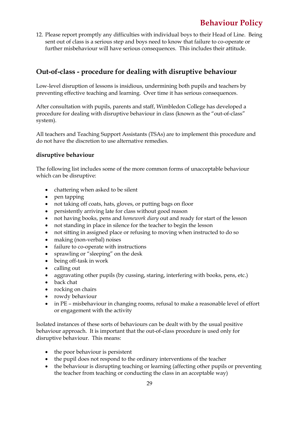12. Please report promptly any difficulties with individual boys to their Head of Line. Being sent out of class is a serious step and boys need to know that failure to co-operate or further misbehaviour will have serious consequences. This includes their attitude.

# **Out-of-class - procedure for dealing with disruptive behaviour**

Low-level disruption of lessons is insidious, undermining both pupils and teachers by preventing effective teaching and learning. Over time it has serious consequences.

After consultation with pupils, parents and staff, Wimbledon College has developed a procedure for dealing with disruptive behaviour in class (known as the "out-of-class" system).

All teachers and Teaching Support Assistants (TSAs) are to implement this procedure and do not have the discretion to use alternative remedies.

#### **disruptive behaviour**

The following list includes some of the more common forms of unacceptable behaviour which can be disruptive:

- chattering when asked to be silent
- pen tapping
- not taking off coats, hats, gloves, or putting bags on floor
- persistently arriving late for class without good reason
- not having books, pens and *homework diary* out and ready for start of the lesson
- not standing in place in silence for the teacher to begin the lesson
- not sitting in assigned place or refusing to moving when instructed to do so
- making (non-verbal) noises
- failure to co-operate with instructions
- sprawling or "sleeping" on the desk
- being off-task in work
- calling out
- aggravating other pupils (by cussing, staring, interfering with books, pens, etc.)
- back chat
- rocking on chairs
- rowdy behaviour
- in PE misbehaviour in changing rooms, refusal to make a reasonable level of effort or engagement with the activity

Isolated instances of these sorts of behaviours can be dealt with by the usual positive behaviour approach. It is important that the out-of-class procedure is used only for disruptive behaviour. This means:

- the poor behaviour is persistent
- the pupil does not respond to the ordinary interventions of the teacher
- the behaviour is disrupting teaching or learning (affecting other pupils or preventing the teacher from teaching or conducting the class in an acceptable way)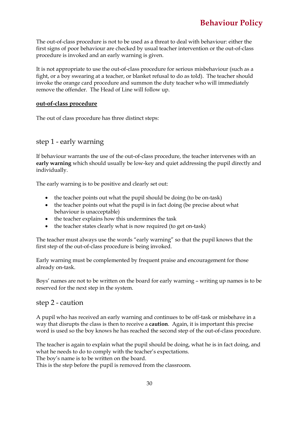The out-of-class procedure is not to be used as a threat to deal with behaviour: either the first signs of poor behaviour are checked by usual teacher intervention or the out-of-class procedure is invoked and an early warning is given.

It is not appropriate to use the out-of-class procedure for serious misbehaviour (such as a fight, or a boy swearing at a teacher, or blanket refusal to do as told). The teacher should invoke the orange card procedure and summon the duty teacher who will immediately remove the offender. The Head of Line will follow up.

#### **out-of-class procedure**

The out of class procedure has three distinct steps:

### step 1 - early warning

If behaviour warrants the use of the out-of-class procedure, the teacher intervenes with an **early warning** which should usually be low-key and quiet addressing the pupil directly and individually.

The early warning is to be positive and clearly set out:

- the teacher points out what the pupil should be doing (to be on-task)
- the teacher points out what the pupil is in fact doing (be precise about what behaviour is unacceptable)
- the teacher explains how this undermines the task
- the teacher states clearly what is now required (to get on-task)

The teacher must always use the words "early warning" so that the pupil knows that the first step of the out-of-class procedure is being invoked.

Early warning must be complemented by frequent praise and encouragement for those already on-task.

Boys' names are not to be written on the board for early warning – writing up names is to be reserved for the next step in the system.

#### step 2 - caution

A pupil who has received an early warning and continues to be off-task or misbehave in a way that disrupts the class is then to receive a **caution**. Again, it is important this precise word is used so the boy knows he has reached the second step of the out-of-class procedure.

The teacher is again to explain what the pupil should be doing, what he is in fact doing, and what he needs to do to comply with the teacher's expectations.

The boy's name is to be written on the board.

This is the step before the pupil is removed from the classroom.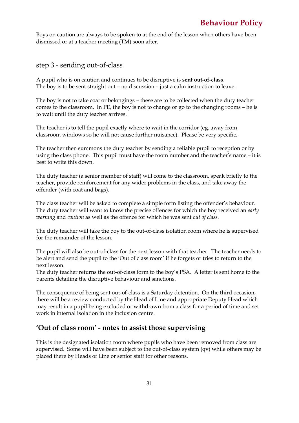Boys on caution are always to be spoken to at the end of the lesson when others have been dismissed or at a teacher meeting (TM) soon after.

step 3 - sending out-of-class

A pupil who is on caution and continues to be disruptive is **sent out-of-class**. The boy is to be sent straight out – no discussion – just a calm instruction to leave.

The boy is not to take coat or belongings – these are to be collected when the duty teacher comes to the classroom. In PE, the boy is not to change or go to the changing rooms – he is to wait until the duty teacher arrives.

The teacher is to tell the pupil exactly where to wait in the corridor (eg. away from classroom windows so he will not cause further nuisance). Please be very specific.

The teacher then summons the duty teacher by sending a reliable pupil to reception or by using the class phone. This pupil must have the room number and the teacher's name – it is best to write this down.

The duty teacher (a senior member of staff) will come to the classroom, speak briefly to the teacher, provide reinforcement for any wider problems in the class, and take away the offender (with coat and bags).

The class teacher will be asked to complete a simple form listing the offender's behaviour. The duty teacher will want to know the precise offences for which the boy received an *early warning* and *caution* as well as the offence for which he was sent *out of class*.

The duty teacher will take the boy to the out-of-class isolation room where he is supervised for the remainder of the lesson.

The pupil will also be out-of-class for the next lesson with that teacher. The teacher needs to be alert and send the pupil to the 'Out of class room' if he forgets or tries to return to the next lesson.

The duty teacher returns the out-of-class form to the boy's PSA. A letter is sent home to the parents detailing the disruptive behaviour and sanctions.

The consequence of being sent out-of-class is a Saturday detention. On the third occasion, there will be a review conducted by the Head of Line and appropriate Deputy Head which may result in a pupil being excluded or withdrawn from a class for a period of time and set work in internal isolation in the inclusion centre.

# **'Out of class room' - notes to assist those supervising**

This is the designated isolation room where pupils who have been removed from class are supervised. Some will have been subject to the out-of-class system (qv) while others may be placed there by Heads of Line or senior staff for other reasons.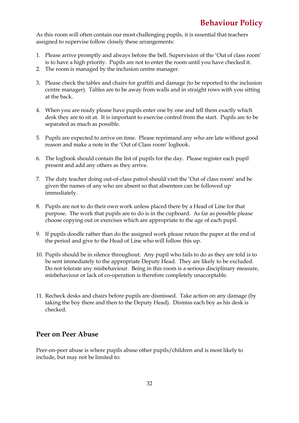As this room will often contain our most challenging pupils, it is essential that teachers assigned to supervise follow closely these arrangements:

- 1. Please arrive promptly and always before the bell. Supervision of the 'Out of class room' is to have a high priority. Pupils are not to enter the room until you have checked it.
- 2. The room is managed by the inclusion centre manager.
- 3. Please check the tables and chairs for graffiti and damage (to be reported to the inclusion centre manager). Tables are to be away from walls and in straight rows with you sitting at the back.
- 4. When you are ready please have pupils enter one by one and tell them exactly which desk they are to sit at. It is important to exercise control from the start. Pupils are to be separated as much as possible.
- 5. Pupils are expected to arrive on time. Please reprimand any who are late without good reason and make a note in the 'Out of Class room' logbook.
- 6. The logbook should contain the list of pupils for the day. Please register each pupil present and add any others as they arrive.
- 7. The duty teacher doing out-of-class patrol should visit the 'Out of class room' and be given the names of any who are absent so that absentees can be followed up immediately.
- 8. Pupils are not to do their own work unless placed there by a Head of Line for that purpose. The work that pupils are to do is in the cupboard. As far as possible please choose copying out or exercises which are appropriate to the age of each pupil.
- 9. If pupils doodle rather than do the assigned work please retain the paper at the end of the period and give to the Head of Line who will follow this up.
- 10. Pupils should be in silence throughout. Any pupil who fails to do as they are told is to be sent immediately to the appropriate Deputy Head. They are likely to be excluded. Do not tolerate any misbehaviour. Being in this room is a serious disciplinary measure, misbehaviour or lack of co-operation is therefore completely unacceptable.
- 11. Recheck desks and chairs before pupils are dismissed. Take action on any damage (by taking the boy there and then to the Deputy Head). Dismiss each boy as his desk is checked.

# **Peer on Peer Abuse**

Peer-on-peer abuse is where pupils abuse other pupils/children and is most likely to include, but may not be limited to: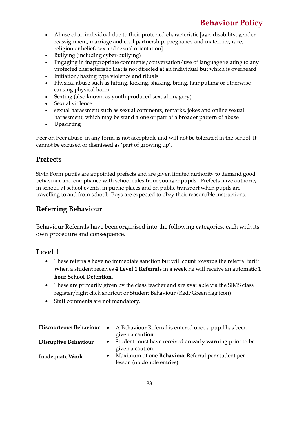- Abuse of an individual due to their protected characteristic [age, disability, gender reassignment, marriage and civil partnership, pregnancy and maternity, race, religion or belief, sex and sexual orientation]
- Bullying (including cyber-bullying)
- Engaging in inappropriate comments/conversation/use of language relating to any protected characteristic that is not directed at an individual but which is overheard
- Initiation/hazing type violence and rituals
- Physical abuse such as hitting, kicking, shaking, biting, hair pulling or otherwise causing physical harm
- Sexting (also known as youth produced sexual imagery)
- Sexual violence
- sexual harassment such as sexual comments, remarks, jokes and online sexual harassment, which may be stand alone or part of a broader pattern of abuse
- Upskirting

Peer on Peer abuse, in any form, is not acceptable and will not be tolerated in the school. It cannot be excused or dismissed as 'part of growing up'.

# **Prefects**

Sixth Form pupils are appointed prefects and are given limited authority to demand good behaviour and compliance with school rules from younger pupils. Prefects have authority in school, at school events, in public places and on public transport when pupils are travelling to and from school. Boys are expected to obey their reasonable instructions.

# **Referring Behaviour**

Behaviour Referrals have been organised into the following categories, each with its own procedure and consequence.

# **Level 1**

- These referrals have no immediate sanction but will count towards the referral tariff. When a student receives **4 Level 1 Referrals** in **a week** he will receive an automatic **1 hour School Detention**.
- These are primarily given by the class teacher and are available via the SIMS class register/right click shortcut or Student Behaviour (Red/Green flag icon)
- Staff comments are **not** mandatory.

|                      |  | <b>Discourteous Behaviour</b> • A Behaviour Referral is entered once a pupil has been |
|----------------------|--|---------------------------------------------------------------------------------------|
|                      |  | given a caution                                                                       |
| Disruptive Behaviour |  | • Student must have received an early warning prior to be                             |
|                      |  | given a caution.                                                                      |
| Inadequate Work      |  | Maximum of one <b>Behaviour</b> Referral per student per                              |
|                      |  | lesson (no double entries)                                                            |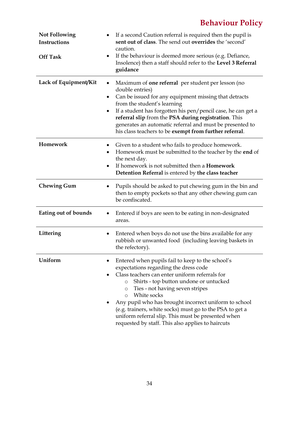| <b>Not Following</b><br>Instructions<br><b>Off Task</b> | If a second Caution referral is required then the pupil is<br>sent out of class. The send out overrides the 'second'<br>caution.<br>If the behaviour is deemed more serious (e.g. Defiance,<br>$\bullet$<br>Insolence) then a staff should refer to the Level 3 Referral<br>guidance                                                                                                                                                                                                                     |
|---------------------------------------------------------|----------------------------------------------------------------------------------------------------------------------------------------------------------------------------------------------------------------------------------------------------------------------------------------------------------------------------------------------------------------------------------------------------------------------------------------------------------------------------------------------------------|
| Lack of Equipment/Kit                                   | Maximum of <b>one referral</b> per student per lesson (no<br>$\bullet$<br>double entries)<br>Can be issued for any equipment missing that detracts<br>٠<br>from the student's learning<br>If a student has forgotten his pen/pencil case, he can get a<br>$\bullet$<br>referral slip from the PSA during registration. This<br>generates an automatic referral and must be presented to<br>his class teachers to be exempt from further referral.                                                        |
| Homework                                                | Given to a student who fails to produce homework.<br>Homework must be submitted to the teacher by the <b>end</b> of<br>٠<br>the next day.<br>If homework is not submitted then a <b>Homework</b><br>$\bullet$<br>Detention Referral is entered by the class teacher                                                                                                                                                                                                                                      |
| <b>Chewing Gum</b>                                      | Pupils should be asked to put chewing gum in the bin and<br>٠<br>then to empty pockets so that any other chewing gum can<br>be confiscated.                                                                                                                                                                                                                                                                                                                                                              |
| Eating out of bounds                                    | Entered if boys are seen to be eating in non-designated<br>٠<br>areas.                                                                                                                                                                                                                                                                                                                                                                                                                                   |
| Littering                                               | Entered when boys do not use the bins available for any<br>$\bullet$<br>rubbish or unwanted food (including leaving baskets in<br>the refectory).                                                                                                                                                                                                                                                                                                                                                        |
| Uniform                                                 | Entered when pupils fail to keep to the school's<br>expectations regarding the dress code<br>Class teachers can enter uniform referrals for<br>Shirts - top button undone or untucked<br>$\circ$<br>Ties - not having seven stripes<br>$\circ$<br>White socks<br>$\circ$<br>Any pupil who has brought incorrect uniform to school<br>(e.g. trainers, white socks) must go to the PSA to get a<br>uniform referral slip. This must be presented when<br>requested by staff. This also applies to haircuts |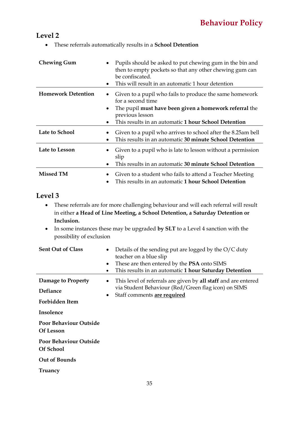# **Level 2**

• These referrals automatically results in a **School Detention** 

| <b>Chewing Gum</b>        | Pupils should be asked to put chewing gum in the bin and<br>then to empty pockets so that any other chewing gum can<br>be confiscated.<br>This will result in an automatic 1 hour detention<br>٠                                                         |
|---------------------------|----------------------------------------------------------------------------------------------------------------------------------------------------------------------------------------------------------------------------------------------------------|
| <b>Homework Detention</b> | Given to a pupil who fails to produce the same homework<br>$\bullet$<br>for a second time<br>The pupil must have been given a homework referral the<br>$\bullet$<br>previous lesson<br>This results in an automatic 1 hour School Detention<br>$\bullet$ |
| Late to School            | Given to a pupil who arrives to school after the 8.25am bell<br>This results in an automatic 30 minute School Detention                                                                                                                                  |
| Late to Lesson            | Given to a pupil who is late to lesson without a permission<br>slip<br>This results in an automatic 30 minute School Detention                                                                                                                           |
| <b>Missed TM</b>          | Given to a student who fails to attend a Teacher Meeting<br>This results in an automatic 1 hour School Detention                                                                                                                                         |

# **Level 3**

- These referrals are for more challenging behaviour and will each referral will result in either **a Head of Line Meeting, a School Detention, a Saturday Detention or Inclusion.**
- In some instances these may be upgraded **by SLT** to a Level 4 sanction with the possibility of exclusion

| <b>Sent Out of Class</b>                          | Details of the sending put are logged by the $O/C$ duty<br>$\bullet$<br>teacher on a blue slip<br>These are then entered by the <b>PSA</b> onto SIMS<br>$\bullet$<br>This results in an automatic 1 hour Saturday Detention |
|---------------------------------------------------|-----------------------------------------------------------------------------------------------------------------------------------------------------------------------------------------------------------------------------|
| Damage to Property<br>Defiance<br>Forbidden Item  | This level of referrals are given by <b>all staff</b> and are entered<br>$\bullet$<br>via Student Behaviour (Red/Green flag icon) on SIMS<br>Staff comments are required<br>$\bullet$                                       |
| Insolence<br><b>Poor Behaviour Outside</b>        |                                                                                                                                                                                                                             |
| Of Lesson                                         |                                                                                                                                                                                                                             |
| <b>Poor Behaviour Outside</b><br><b>Of School</b> |                                                                                                                                                                                                                             |
| Out of Bounds<br>Truancy                          |                                                                                                                                                                                                                             |
|                                                   |                                                                                                                                                                                                                             |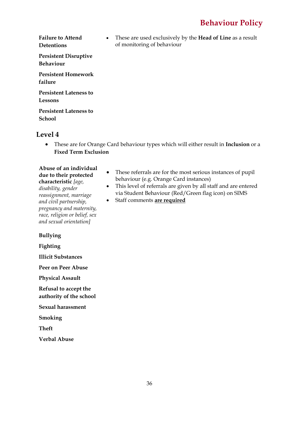**Failure to Attend Detentions Persistent Disruptive Behaviour**

**Persistent Homework failure**

**Persistent Lateness to Lessons**

**Persistent Lateness to School** 

### **Level 4**

• These are for Orange Card behaviour types which will either result in **Inclusion** or a **Fixed Term Exclusion**

of monitoring of behaviour

**Abuse of an individual due to their protected characteristic** *[age,* 

*disability, gender reassignment, marriage and civil partnership, pregnancy and maternity, race, religion or belief, sex and sexual orientation]*

• These referrals are for the most serious instances of pupil behaviour (e.g. Orange Card instances)

• These are used exclusively by the **Head of Line** as a result

- This level of referrals are given by all staff and are entered via Student Behaviour (Red/Green flag icon) on SIMS
- Staff comments **are required**

**Bullying**

**Fighting**

**Illicit Substances**

**Peer on Peer Abuse**

**Physical Assault**

**Refusal to accept the authority of the school**

**Sexual harassment**

**Smoking**

**Theft**

**Verbal Abuse**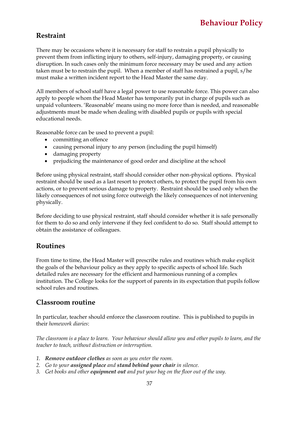# **Restraint**

There may be occasions where it is necessary for staff to restrain a pupil physically to prevent them from inflicting injury to others, self-injury, damaging property, or causing disruption. In such cases only the minimum force necessary may be used and any action taken must be to restrain the pupil. When a member of staff has restrained a pupil, s/he must make a written incident report to the Head Master the same day.

All members of school staff have a legal power to use reasonable force. This power can also apply to people whom the Head Master has temporarily put in charge of pupils such as unpaid volunteers. 'Reasonable' means using no more force than is needed, and reasonable adjustments must be made when dealing with disabled pupils or pupils with special educational needs.

Reasonable force can be used to prevent a pupil:

- committing an offence
- causing personal injury to any person (including the pupil himself)
- damaging property
- prejudicing the maintenance of good order and discipline at the school

Before using physical restraint, staff should consider other non-physical options. Physical restraint should be used as a last resort to protect others, to protect the pupil from his own actions, or to prevent serious damage to property. Restraint should be used only when the likely consequences of not using force outweigh the likely consequences of not intervening physically.

Before deciding to use physical restraint, staff should consider whether it is safe personally for them to do so and only intervene if they feel confident to do so. Staff should attempt to obtain the assistance of colleagues.

# **Routines**

From time to time, the Head Master will prescribe rules and routines which make explicit the goals of the behaviour policy as they apply to specific aspects of school life. Such detailed rules are necessary for the efficient and harmonious running of a complex institution. The College looks for the support of parents in its expectation that pupils follow school rules and routines.

# **Classroom routine**

In particular, teacher should enforce the classroom routine. This is published to pupils in their *homework diaries*:

*The classroom is a place to learn. Your behaviour should allow you and other pupils to learn, and the teacher to teach, without distraction or interruption.*

- *1. Remove outdoor clothes as soon as you enter the room.*
- *2. Go to your assigned place and stand behind your chair in silence.*
- *3. Get books and other equipment out and put your bag on the floor out of the way.*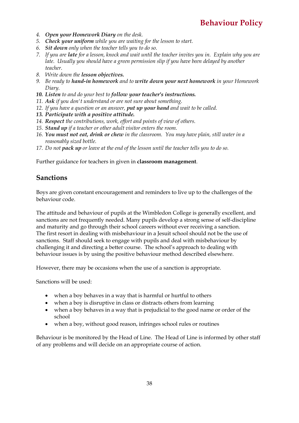- *4. Open your Homework Diary on the desk.*
- *5. Check your uniform while you are waiting for the lesson to start.*
- *6. Sit down only when the teacher tells you to do so.*
- *7. If you are late for a lesson, knock and wait until the teacher invites you in. Explain why you are late. Usually you should have a green permission slip if you have been delayed by another teacher.*
- *8. Write down the lesson objectives.*
- *9. Be ready to hand-in homework and to write down your next homework in your Homework Diary.*
- *10. Listen to and do your best to follow your teacher's instructions.*
- *11. Ask if you don't understand or are not sure about something.*
- *12. If you have a question or an answer, put up your hand and wait to be called.*
- *13. Participate with a positive attitude.*
- *14. Respect the contributions, work, effort and points of view of others.*
- *15. Stand up if a teacher or other adult visitor enters the room.*
- *16. You must not eat, drink or chew in the classroom. You may have plain, still water in a reasonably sized bottle.*
- *17. Do not pack up or leave at the end of the lesson until the teacher tells you to do so.*

Further guidance for teachers in given in **classroom management**.

### **Sanctions**

Boys are given constant encouragement and reminders to live up to the challenges of the behaviour code.

The attitude and behaviour of pupils at the Wimbledon College is generally excellent, and sanctions are not frequently needed. Many pupils develop a strong sense of self-discipline and maturity and go through their school careers without ever receiving a sanction. The first resort in dealing with misbehaviour in a Jesuit school should not be the use of sanctions. Staff should seek to engage with pupils and deal with misbehaviour by challenging it and directing a better course. The school's approach to dealing with behaviour issues is by using the positive behaviour method described elsewhere.

However, there may be occasions when the use of a sanction is appropriate.

Sanctions will be used:

- when a boy behaves in a way that is harmful or hurtful to others
- when a boy is disruptive in class or distracts others from learning
- when a boy behaves in a way that is prejudicial to the good name or order of the school
- when a boy, without good reason, infringes school rules or routines

Behaviour is be monitored by the Head of Line. The Head of Line is informed by other staff of any problems and will decide on an appropriate course of action.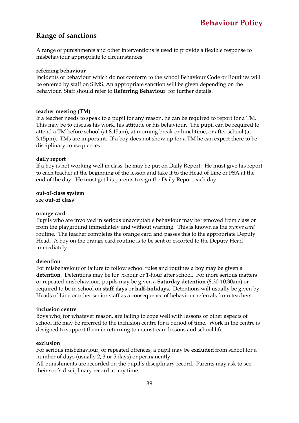### **Range of sanctions**

A range of punishments and other interventions is used to provide a flexible response to misbehaviour appropriate to circumstances:

#### **referring behaviour**

Incidents of behaviour which do not conform to the school Behaviour Code or Routines will be entered by staff on SIMS. An appropriate sanction will be given depending on the behaviour. Staff should refer to **Referring Behaviour** for further details.

#### **teacher meeting (TM)**

If a teacher needs to speak to a pupil for any reason, he can be required to report for a TM. This may be to discuss his work, his attitude or his behaviour. The pupil can be required to attend a TM before school (at 8.15am), at morning break or lunchtime, or after school (at 3.15pm). TMs are important. If a boy does not show up for a TM he can expect there to be disciplinary consequences.

#### **daily report**

If a boy is not working well in class, he may be put on Daily Report. He must give his report to each teacher at the beginning of the lesson and take it to the Head of Line or PSA at the end of the day. He must get his parents to sign the Daily Report each day.

**out-of-class system** see **out-of class**

#### **orange card**

Pupils who are involved in serious unacceptable behaviour may be removed from class or from the playground immediately and without warning. This is known as the *orange card* routine. The teacher completes the orange card and passes this to the appropriate Deputy Head. A boy on the orange card routine is to be sent or escorted to the Deputy Head immediately.

#### **detention**

For misbehaviour or failure to follow school rules and routines a boy may be given a **detention**. Detentions may be for ½-hour or 1-hour after school. For more serious matters or repeated misbehaviour, pupils may be given a **Saturday detention** (8.30-10.30am) or required to be in school on **staff days** or **half-holidays**. Detentions will usually be given by Heads of Line or other senior staff as a consequence of behaviour referrals from teachers.

#### **inclusion centre**

Boys who, for whatever reason, are failing to cope well with lessons or other aspects of school life may be referred to the inclusion centre for a period of time. Work in the centre is designed to support them in returning to mainstream lessons and school life.

#### **exclusion**

For serious misbehaviour, or repeated offences, a pupil may be **excluded** from school for a number of days (usually 2, 3 or 5 days) or permanently.

All punishments are recorded on the pupil's disciplinary record. Parents may ask to see their son's disciplinary record at any time.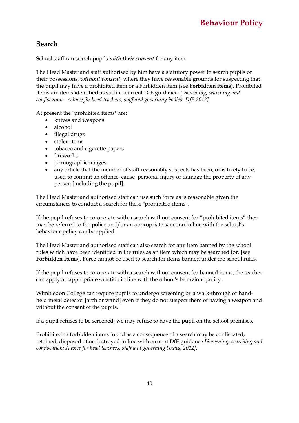# **Search**

School staff can search pupils *with their consent* for any item.

The Head Master and staff authorised by him have a statutory power to search pupils or their possessions, *without consent*, where they have reasonable grounds for suspecting that the pupil may have a prohibited item or a Forbidden item (see **Forbidden items**). Prohibited items are items identified as such in current DfE guidance. *['Screening, searching and confiscation - Advice for head teachers, staff and governing bodies' DfE 2012]*

At present the "prohibited items" are:

- knives and weapons
- alcohol
- illegal drugs
- stolen items
- tobacco and cigarette papers
- fireworks
- pornographic images
- any article that the member of staff reasonably suspects has been, or is likely to be, used to commit an offence, cause personal injury or damage the property of any person [including the pupil].

The Head Master and authorised staff can use such force as is reasonable given the circumstances to conduct a search for these "prohibited items".

If the pupil refuses to co-operate with a search without consent for "prohibited items" they may be referred to the police and/or an appropriate sanction in line with the school's behaviour policy can be applied.

The Head Master and authorised staff can also search for any item banned by the school rules which have been identified in the rules as an item which may be searched for. [see **Forbidden Items**]. Force cannot be used to search for items banned under the school rules.

If the pupil refuses to co-operate with a search without consent for banned items, the teacher can apply an appropriate sanction in line with the school's behaviour policy.

Wimbledon College can require pupils to undergo screening by a walk-through or handheld metal detector [arch or wand] even if they do not suspect them of having a weapon and without the consent of the pupils.

If a pupil refuses to be screened, we may refuse to have the pupil on the school premises.

Prohibited or forbidden items found as a consequence of a search may be confiscated, retained, disposed of or destroyed in line with current DfE guidance *[Screening, searching and confiscation; Advice for head teachers, staff and governing bodies, 2012].*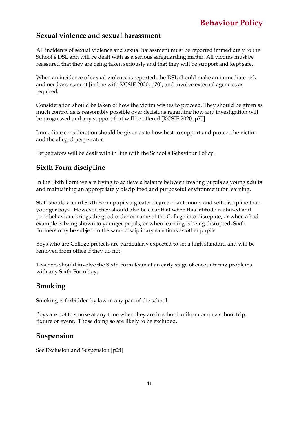### **Sexual violence and sexual harassment**

All incidents of sexual violence and sexual harassment must be reported immediately to the School's DSL and will be dealt with as a serious safeguarding matter. All victims must be reassured that they are being taken seriously and that they will be support and kept safe.

When an incidence of sexual violence is reported, the DSL should make an immediate risk and need assessment [in line with KCSIE 2020, p70], and involve external agencies as required.

Consideration should be taken of how the victim wishes to proceed. They should be given as much control as is reasonably possible over decisions regarding how any investigation will be progressed and any support that will be offered [KCSIE 2020, p70]

Immediate consideration should be given as to how best to support and protect the victim and the alleged perpetrator.

Perpetrators will be dealt with in line with the School's Behaviour Policy.

# **Sixth Form discipline**

In the Sixth Form we are trying to achieve a balance between treating pupils as young adults and maintaining an appropriately disciplined and purposeful environment for learning.

Staff should accord Sixth Form pupils a greater degree of autonomy and self-discipline than younger boys. However, they should also be clear that when this latitude is abused and poor behaviour brings the good order or name of the College into disrepute, or when a bad example is being shown to younger pupils, or when learning is being disrupted, Sixth Formers may be subject to the same disciplinary sanctions as other pupils.

Boys who are College prefects are particularly expected to set a high standard and will be removed from office if they do not.

Teachers should involve the Sixth Form team at an early stage of encountering problems with any Sixth Form boy.

# **Smoking**

Smoking is forbidden by law in any part of the school.

Boys are not to smoke at any time when they are in school uniform or on a school trip, fixture or event. Those doing so are likely to be excluded.

### **Suspension**

See Exclusion and Suspension [p24]